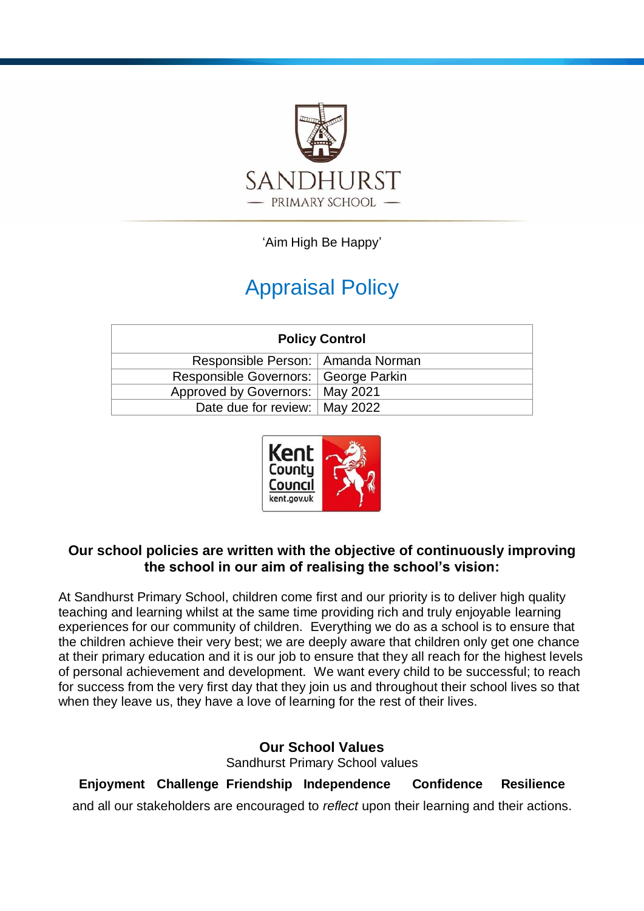

'Aim High Be Happy'

# Appraisal Policy

| <b>Policy Control</b>                  |  |
|----------------------------------------|--|
| Responsible Person:   Amanda Norman    |  |
| Responsible Governors:   George Parkin |  |
| Approved by Governors:   May 2021      |  |
| Date due for review:   May 2022        |  |



# **Our school policies are written with the objective of continuously improving the school in our aim of realising the school's vision:**

At Sandhurst Primary School, children come first and our priority is to deliver high quality teaching and learning whilst at the same time providing rich and truly enjoyable learning experiences for our community of children. Everything we do as a school is to ensure that the children achieve their very best; we are deeply aware that children only get one chance at their primary education and it is our job to ensure that they all reach for the highest levels of personal achievement and development. We want every child to be successful; to reach for success from the very first day that they join us and throughout their school lives so that when they leave us, they have a love of learning for the rest of their lives.

> **Our School Values** Sandhurst Primary School values

**Enjoyment Challenge Friendship Independence Confidence Resilience** and all our stakeholders are encouraged to *reflect* upon their learning and their actions.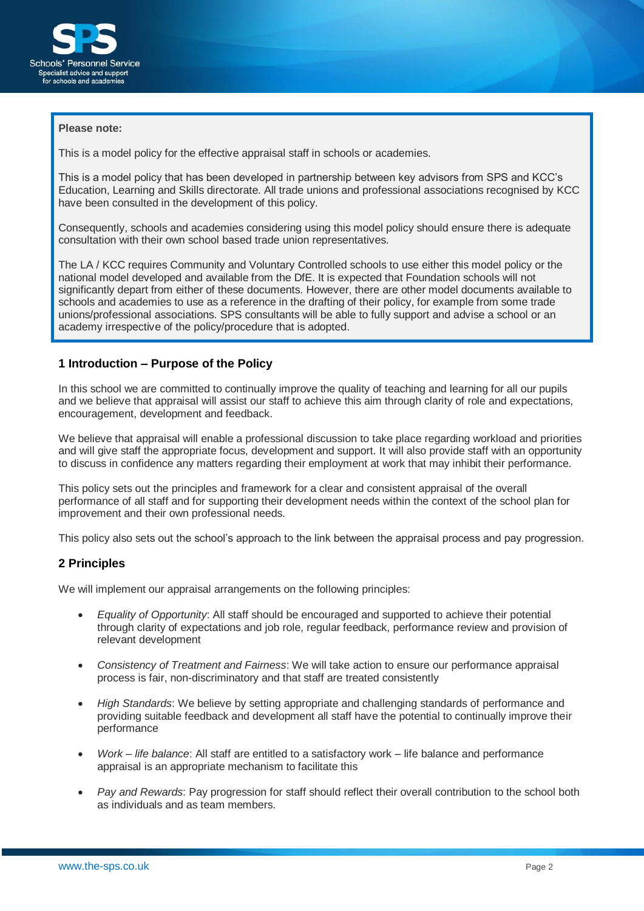

#### **Please note:**

This is a model policy for the effective appraisal staff in schools or academies.

This is a model policy that has been developed in partnership between key advisors from SPS and KCC's Education, Learning and Skills directorate. All trade unions and professional associations recognised by KCC have been consulted in the development of this policy.

Consequently, schools and academies considering using this model policy should ensure there is adequate consultation with their own school based trade union representatives.

The LA / KCC requires Community and Voluntary Controlled schools to use either this model policy or the national model developed and available from the DfE. It is expected that Foundation schools will not significantly depart from either of these documents. However, there are other model documents available to schools and academies to use as a reference in the drafting of their policy, for example from some trade unions/professional associations. SPS consultants will be able to fully support and advise a school or an academy irrespective of the policy/procedure that is adopted.

# **1 Introduction – Purpose of the Policy**

In this school we are committed to continually improve the quality of teaching and learning for all our pupils and we believe that appraisal will assist our staff to achieve this aim through clarity of role and expectations, encouragement, development and feedback.

We believe that appraisal will enable a professional discussion to take place regarding workload and priorities and will give staff the appropriate focus, development and support. It will also provide staff with an opportunity to discuss in confidence any matters regarding their employment at work that may inhibit their performance.

This policy sets out the principles and framework for a clear and consistent appraisal of the overall performance of all staff and for supporting their development needs within the context of the school plan for improvement and their own professional needs.

This policy also sets out the school's approach to the link between the appraisal process and pay progression.

# **2 Principles**

We will implement our appraisal arrangements on the following principles:

- *Equality of Opportunity*: All staff should be encouraged and supported to achieve their potential through clarity of expectations and job role, regular feedback, performance review and provision of relevant development
- *Consistency of Treatment and Fairness*: We will take action to ensure our performance appraisal process is fair, non-discriminatory and that staff are treated consistently
- *High Standards*: We believe by setting appropriate and challenging standards of performance and providing suitable feedback and development all staff have the potential to continually improve their **performance**
- *Work – life balance*: All staff are entitled to a satisfactory work life balance and performance appraisal is an appropriate mechanism to facilitate this
- *Pay and Rewards*: Pay progression for staff should reflect their overall contribution to the school both as individuals and as team members.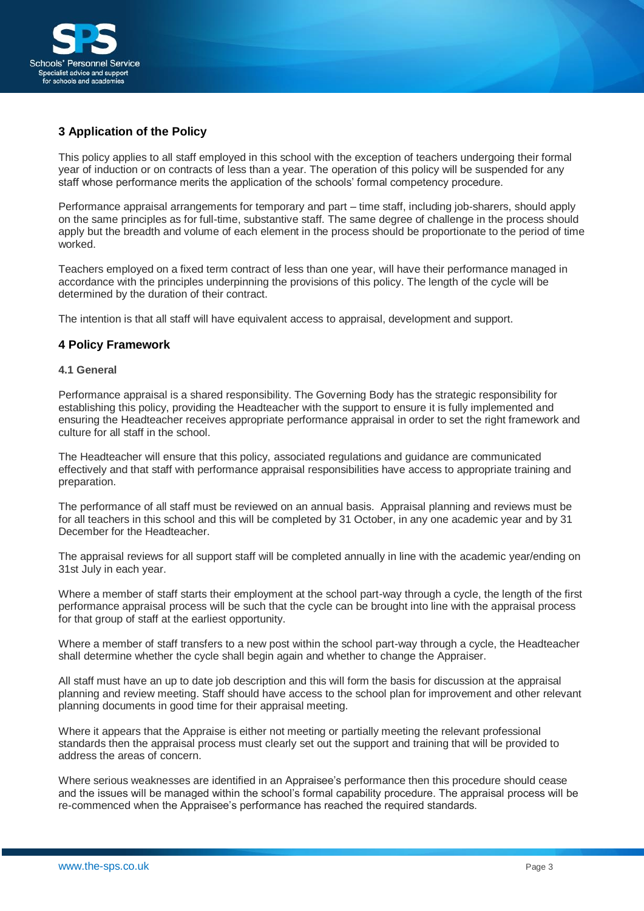

# **3 Application of the Policy**

This policy applies to all staff employed in this school with the exception of teachers undergoing their formal year of induction or on contracts of less than a year. The operation of this policy will be suspended for any staff whose performance merits the application of the schools' formal competency procedure.

Performance appraisal arrangements for temporary and part – time staff, including job-sharers, should apply on the same principles as for full-time, substantive staff. The same degree of challenge in the process should apply but the breadth and volume of each element in the process should be proportionate to the period of time worked.

Teachers employed on a fixed term contract of less than one year, will have their performance managed in accordance with the principles underpinning the provisions of this policy. The length of the cycle will be determined by the duration of their contract.

The intention is that all staff will have equivalent access to appraisal, development and support.

## **4 Policy Framework**

#### **4.1 General**

Performance appraisal is a shared responsibility. The Governing Body has the strategic responsibility for establishing this policy, providing the Headteacher with the support to ensure it is fully implemented and ensuring the Headteacher receives appropriate performance appraisal in order to set the right framework and culture for all staff in the school.

The Headteacher will ensure that this policy, associated regulations and guidance are communicated effectively and that staff with performance appraisal responsibilities have access to appropriate training and preparation.

The performance of all staff must be reviewed on an annual basis. Appraisal planning and reviews must be for all teachers in this school and this will be completed by 31 October, in any one academic year and by 31 December for the Headteacher.

The appraisal reviews for all support staff will be completed annually in line with the academic year/ending on 31st July in each year.

Where a member of staff starts their employment at the school part-way through a cycle, the length of the first performance appraisal process will be such that the cycle can be brought into line with the appraisal process for that group of staff at the earliest opportunity.

Where a member of staff transfers to a new post within the school part-way through a cycle, the Headteacher shall determine whether the cycle shall begin again and whether to change the Appraiser.

All staff must have an up to date job description and this will form the basis for discussion at the appraisal planning and review meeting. Staff should have access to the school plan for improvement and other relevant planning documents in good time for their appraisal meeting.

Where it appears that the Appraise is either not meeting or partially meeting the relevant professional standards then the appraisal process must clearly set out the support and training that will be provided to address the areas of concern.

Where serious weaknesses are identified in an Appraisee's performance then this procedure should cease and the issues will be managed within the school's formal capability procedure. The appraisal process will be re-commenced when the Appraisee's performance has reached the required standards.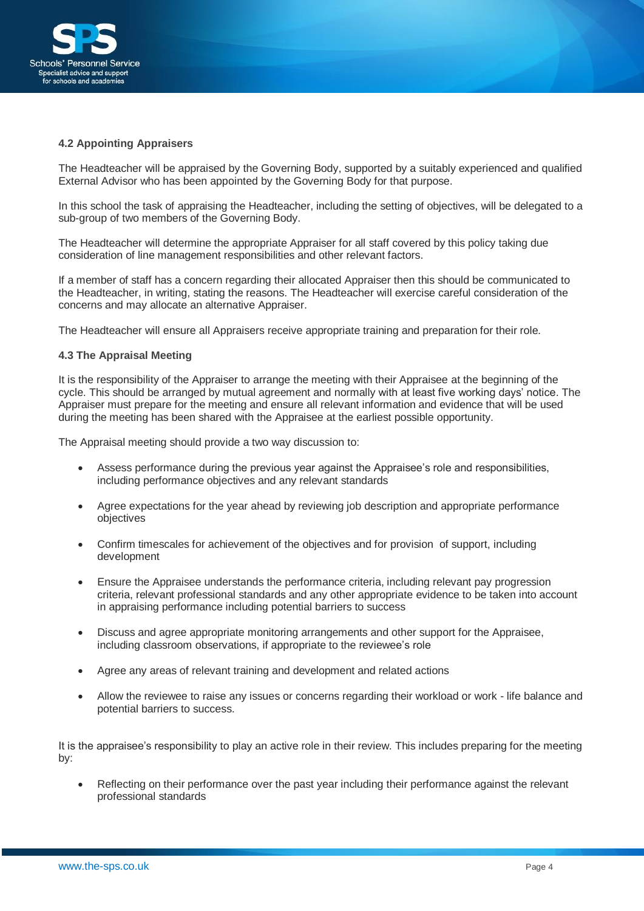

#### **4.2 Appointing Appraisers**

The Headteacher will be appraised by the Governing Body, supported by a suitably experienced and qualified External Advisor who has been appointed by the Governing Body for that purpose.

In this school the task of appraising the Headteacher, including the setting of objectives, will be delegated to a sub-group of two members of the Governing Body.

The Headteacher will determine the appropriate Appraiser for all staff covered by this policy taking due consideration of line management responsibilities and other relevant factors.

If a member of staff has a concern regarding their allocated Appraiser then this should be communicated to the Headteacher, in writing, stating the reasons. The Headteacher will exercise careful consideration of the concerns and may allocate an alternative Appraiser.

The Headteacher will ensure all Appraisers receive appropriate training and preparation for their role.

#### **4.3 The Appraisal Meeting**

It is the responsibility of the Appraiser to arrange the meeting with their Appraisee at the beginning of the cycle. This should be arranged by mutual agreement and normally with at least five working days' notice. The Appraiser must prepare for the meeting and ensure all relevant information and evidence that will be used during the meeting has been shared with the Appraisee at the earliest possible opportunity.

The Appraisal meeting should provide a two way discussion to:

- Assess performance during the previous year against the Appraisee's role and responsibilities, including performance objectives and any relevant standards
- Agree expectations for the year ahead by reviewing job description and appropriate performance objectives
- Confirm timescales for achievement of the objectives and for provision of support, including development
- Ensure the Appraisee understands the performance criteria, including relevant pay progression criteria, relevant professional standards and any other appropriate evidence to be taken into account in appraising performance including potential barriers to success
- Discuss and agree appropriate monitoring arrangements and other support for the Appraisee, including classroom observations, if appropriate to the reviewee's role
- Agree any areas of relevant training and development and related actions
- Allow the reviewee to raise any issues or concerns regarding their workload or work life balance and potential barriers to success.

It is the appraisee's responsibility to play an active role in their review. This includes preparing for the meeting by:

Reflecting on their performance over the past year including their performance against the relevant professional standards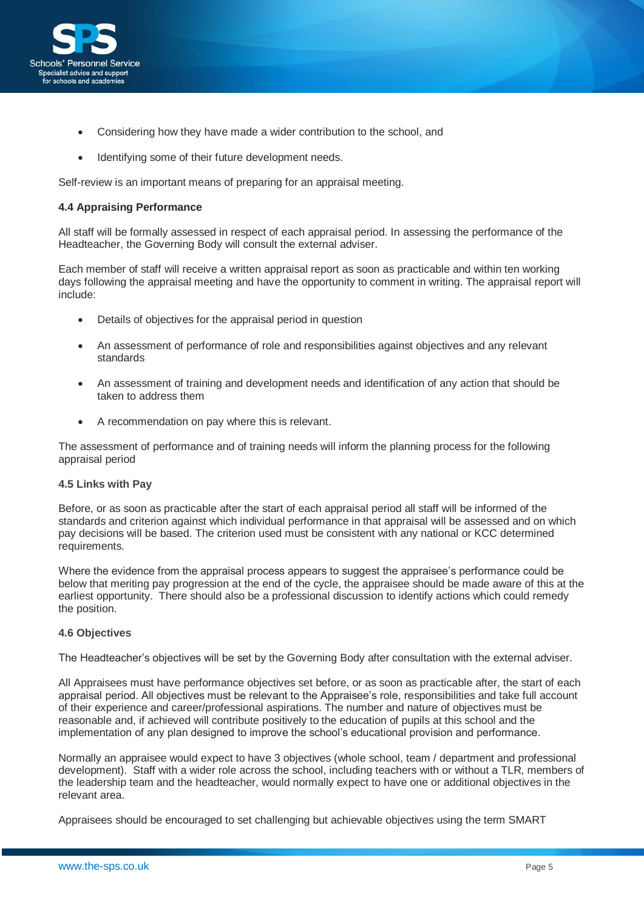

- Considering how they have made a wider contribution to the school, and
- Identifying some of their future development needs.

Self-review is an important means of preparing for an appraisal meeting.

## **4.4 Appraising Performance**

All staff will be formally assessed in respect of each appraisal period. In assessing the performance of the Headteacher, the Governing Body will consult the external adviser.

Each member of staff will receive a written appraisal report as soon as practicable and within ten working days following the appraisal meeting and have the opportunity to comment in writing. The appraisal report will include:

- Details of objectives for the appraisal period in question
- An assessment of performance of role and responsibilities against objectives and any relevant standards
- An assessment of training and development needs and identification of any action that should be taken to address them
- A recommendation on pay where this is relevant.

The assessment of performance and of training needs will inform the planning process for the following appraisal period

#### **4.5 Links with Pay**

Before, or as soon as practicable after the start of each appraisal period all staff will be informed of the standards and criterion against which individual performance in that appraisal will be assessed and on which pay decisions will be based. The criterion used must be consistent with any national or KCC determined requirements.

Where the evidence from the appraisal process appears to suggest the appraisee's performance could be below that meriting pay progression at the end of the cycle, the appraisee should be made aware of this at the earliest opportunity. There should also be a professional discussion to identify actions which could remedy the position.

#### **4.6 Objectives**

The Headteacher's objectives will be set by the Governing Body after consultation with the external adviser.

All Appraisees must have performance objectives set before, or as soon as practicable after, the start of each appraisal period. All objectives must be relevant to the Appraisee's role, responsibilities and take full account of their experience and career/professional aspirations. The number and nature of objectives must be reasonable and, if achieved will contribute positively to the education of pupils at this school and the implementation of any plan designed to improve the school's educational provision and performance.

Normally an appraisee would expect to have 3 objectives (whole school, team / department and professional development). Staff with a wider role across the school, including teachers with or without a TLR, members of the leadership team and the headteacher, would normally expect to have one or additional objectives in the relevant area.

Appraisees should be encouraged to set challenging but achievable objectives using the term SMART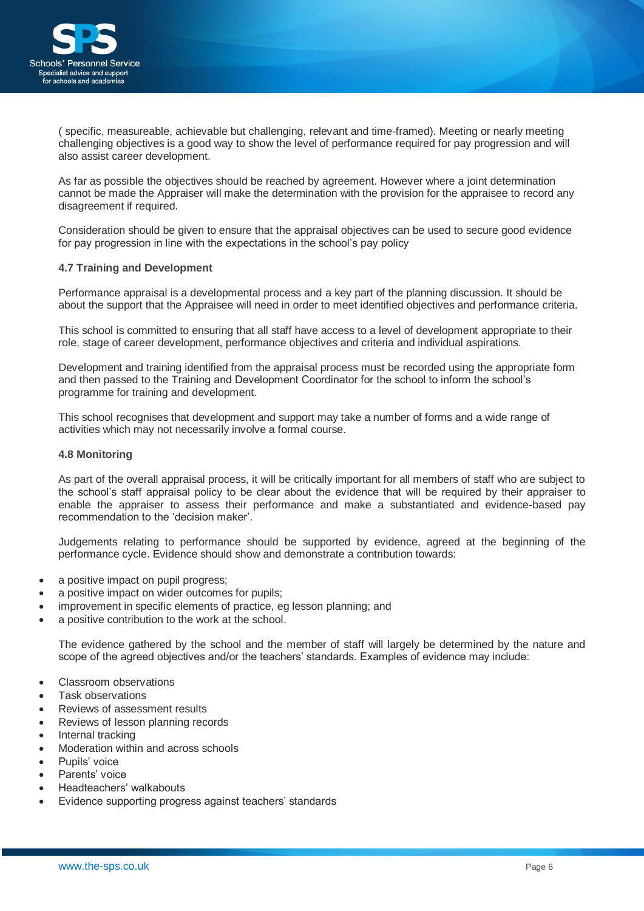

( specific, measureable, achievable but challenging, relevant and time-framed). Meeting or nearly meeting challenging objectives is a good way to show the level of performance required for pay progression and will also assist career development.

As far as possible the objectives should be reached by agreement. However where a joint determination cannot be made the Appraiser will make the determination with the provision for the appraisee to record any disagreement if required.

Consideration should be given to ensure that the appraisal objectives can be used to secure good evidence for pay progression in line with the expectations in the school's pay policy

## **4.7 Training and Development**

Performance appraisal is a developmental process and a key part of the planning discussion. It should be about the support that the Appraisee will need in order to meet identified objectives and performance criteria.

This school is committed to ensuring that all staff have access to a level of development appropriate to their role, stage of career development, performance objectives and criteria and individual aspirations.

Development and training identified from the appraisal process must be recorded using the appropriate form and then passed to the Training and Development Coordinator for the school to inform the school's programme for training and development.

This school recognises that development and support may take a number of forms and a wide range of activities which may not necessarily involve a formal course.

#### **4.8 Monitoring**

As part of the overall appraisal process, it will be critically important for all members of staff who are subject to the school's staff appraisal policy to be clear about the evidence that will be required by their appraiser to enable the appraiser to assess their performance and make a substantiated and evidence-based pay recommendation to the 'decision maker'.

Judgements relating to performance should be supported by evidence, agreed at the beginning of the performance cycle. Evidence should show and demonstrate a contribution towards:

- a positive impact on pupil progress;
- a positive impact on wider outcomes for pupils;
- improvement in specific elements of practice, eg lesson planning; and
- a positive contribution to the work at the school.

The evidence gathered by the school and the member of staff will largely be determined by the nature and scope of the agreed objectives and/or the teachers' standards. Examples of evidence may include:

- Classroom observations
- Task observations
- Reviews of assessment results
- Reviews of lesson planning records
- Internal tracking
- Moderation within and across schools
- Pupils' voice
- Parents' voice
- Headteachers' walkabouts
- Evidence supporting progress against teachers' standards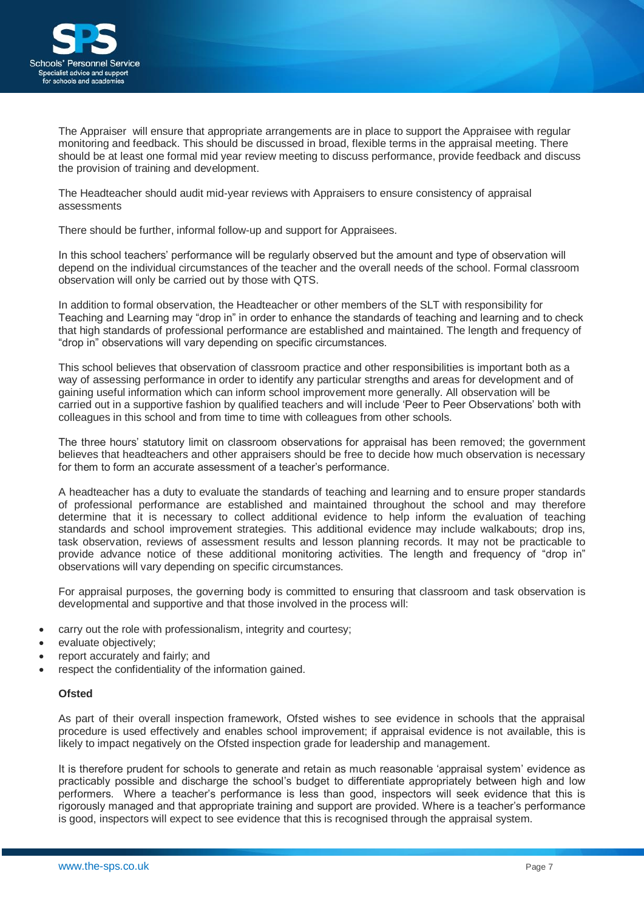

The Appraiser will ensure that appropriate arrangements are in place to support the Appraisee with regular monitoring and feedback. This should be discussed in broad, flexible terms in the appraisal meeting. There should be at least one formal mid year review meeting to discuss performance, provide feedback and discuss the provision of training and development.

The Headteacher should audit mid-year reviews with Appraisers to ensure consistency of appraisal assessments

There should be further, informal follow-up and support for Appraisees.

In this school teachers' performance will be regularly observed but the amount and type of observation will depend on the individual circumstances of the teacher and the overall needs of the school. Formal classroom observation will only be carried out by those with QTS.

In addition to formal observation, the Headteacher or other members of the SLT with responsibility for Teaching and Learning may "drop in" in order to enhance the standards of teaching and learning and to check that high standards of professional performance are established and maintained. The length and frequency of "drop in" observations will vary depending on specific circumstances.

This school believes that observation of classroom practice and other responsibilities is important both as a way of assessing performance in order to identify any particular strengths and areas for development and of gaining useful information which can inform school improvement more generally. All observation will be carried out in a supportive fashion by qualified teachers and will include 'Peer to Peer Observations' both with colleagues in this school and from time to time with colleagues from other schools.

The three hours' statutory limit on classroom observations for appraisal has been removed; the government believes that headteachers and other appraisers should be free to decide how much observation is necessary for them to form an accurate assessment of a teacher's performance.

A headteacher has a duty to evaluate the standards of teaching and learning and to ensure proper standards of professional performance are established and maintained throughout the school and may therefore determine that it is necessary to collect additional evidence to help inform the evaluation of teaching standards and school improvement strategies. This additional evidence may include walkabouts; drop ins, task observation, reviews of assessment results and lesson planning records. It may not be practicable to provide advance notice of these additional monitoring activities. The length and frequency of "drop in" observations will vary depending on specific circumstances.

For appraisal purposes, the governing body is committed to ensuring that classroom and task observation is developmental and supportive and that those involved in the process will:

- carry out the role with professionalism, integrity and courtesy;
- evaluate objectively;
- report accurately and fairly; and
- respect the confidentiality of the information gained.

#### **Ofsted**

As part of their overall inspection framework, Ofsted wishes to see evidence in schools that the appraisal procedure is used effectively and enables school improvement; if appraisal evidence is not available, this is likely to impact negatively on the Ofsted inspection grade for leadership and management.

It is therefore prudent for schools to generate and retain as much reasonable 'appraisal system' evidence as practicably possible and discharge the school's budget to differentiate appropriately between high and low performers. Where a teacher's performance is less than good, inspectors will seek evidence that this is rigorously managed and that appropriate training and support are provided. Where is a teacher's performance is good, inspectors will expect to see evidence that this is recognised through the appraisal system.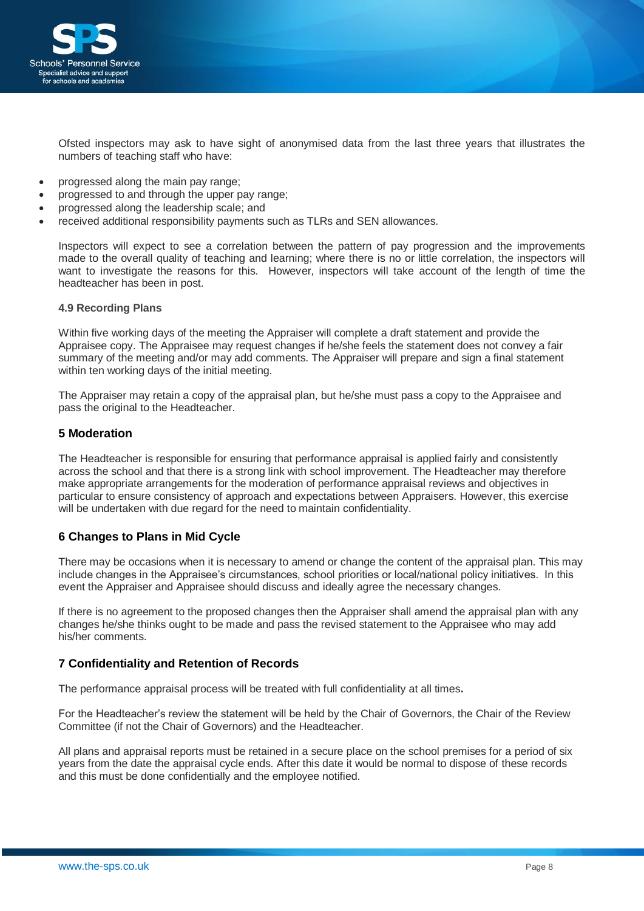

Ofsted inspectors may ask to have sight of anonymised data from the last three years that illustrates the numbers of teaching staff who have:

- progressed along the main pay range;
- progressed to and through the upper pay range;
- progressed along the leadership scale; and
- received additional responsibility payments such as TLRs and SEN allowances.

Inspectors will expect to see a correlation between the pattern of pay progression and the improvements made to the overall quality of teaching and learning; where there is no or little correlation, the inspectors will want to investigate the reasons for this. However, inspectors will take account of the length of time the headteacher has been in post.

#### **4.9 Recording Plans**

Within five working days of the meeting the Appraiser will complete a draft statement and provide the Appraisee copy. The Appraisee may request changes if he/she feels the statement does not convey a fair summary of the meeting and/or may add comments. The Appraiser will prepare and sign a final statement within ten working days of the initial meeting.

The Appraiser may retain a copy of the appraisal plan, but he/she must pass a copy to the Appraisee and pass the original to the Headteacher.

#### **5 Moderation**

The Headteacher is responsible for ensuring that performance appraisal is applied fairly and consistently across the school and that there is a strong link with school improvement. The Headteacher may therefore make appropriate arrangements for the moderation of performance appraisal reviews and objectives in particular to ensure consistency of approach and expectations between Appraisers. However, this exercise will be undertaken with due regard for the need to maintain confidentiality.

# **6 Changes to Plans in Mid Cycle**

There may be occasions when it is necessary to amend or change the content of the appraisal plan. This may include changes in the Appraisee's circumstances, school priorities or local/national policy initiatives. In this event the Appraiser and Appraisee should discuss and ideally agree the necessary changes.

If there is no agreement to the proposed changes then the Appraiser shall amend the appraisal plan with any changes he/she thinks ought to be made and pass the revised statement to the Appraisee who may add his/her comments.

# **7 Confidentiality and Retention of Records**

The performance appraisal process will be treated with full confidentiality at all times**.** 

For the Headteacher's review the statement will be held by the Chair of Governors, the Chair of the Review Committee (if not the Chair of Governors) and the Headteacher.

All plans and appraisal reports must be retained in a secure place on the school premises for a period of six years from the date the appraisal cycle ends. After this date it would be normal to dispose of these records and this must be done confidentially and the employee notified.